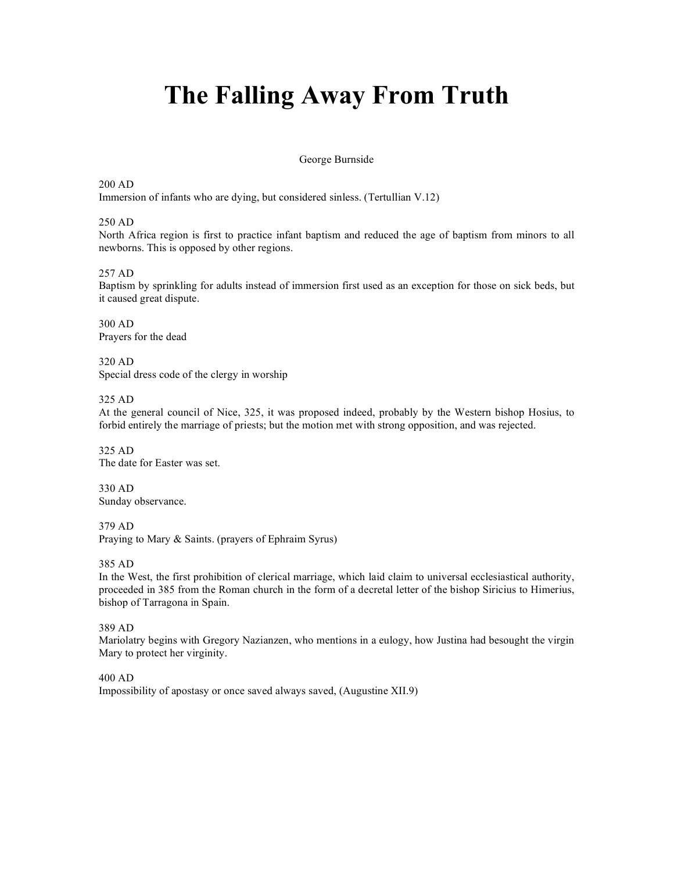#### George Burnside

#### 200 AD

Immersion of infants who are dying, but considered sinless. (Tertullian V.12)

#### 250 AD

North Africa region is first to practice infant baptism and reduced the age of baptism from minors to all newborns. This is opposed by other regions.

#### 257 AD

Baptism by sprinkling for adults instead of immersion first used as an exception for those on sick beds, but it caused great dispute.

300 AD Prayers for the dead

320 AD Special dress code of the clergy in worship

#### 325 AD

At the general council of Nice, 325, it was proposed indeed, probably by the Western bishop Hosius, to forbid entirely the marriage of priests; but the motion met with strong opposition, and was rejected.

325 AD The date for Easter was set.

330 AD Sunday observance.

379 AD Praying to Mary & Saints. (prayers of Ephraim Syrus)

385 AD

In the West, the first prohibition of clerical marriage, which laid claim to universal ecclesiastical authority, proceeded in 385 from the Roman church in the form of a decretal letter of the bishop Siricius to Himerius, bishop of Tarragona in Spain.

389 AD

Mariolatry begins with Gregory Nazianzen, who mentions in a eulogy, how Justina had besought the virgin Mary to protect her virginity.

400 AD Impossibility of apostasy or once saved always saved, (Augustine XII.9)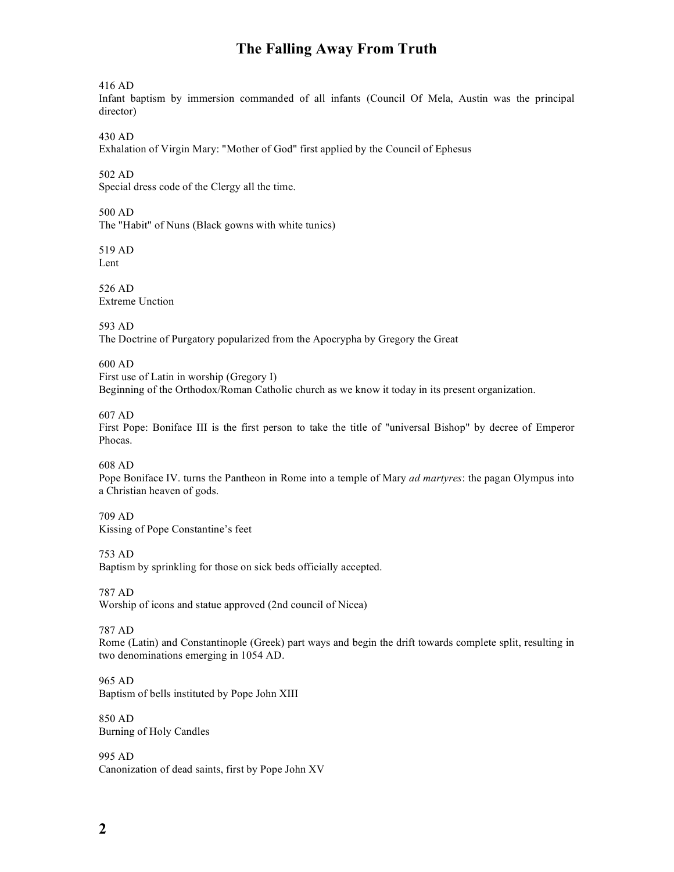416 AD

Infant baptism by immersion commanded of all infants (Council Of Mela, Austin was the principal director)

430 AD

Exhalation of Virgin Mary: "Mother of God" first applied by the Council of Ephesus

502 AD

Special dress code of the Clergy all the time.

500 AD

The "Habit" of Nuns (Black gowns with white tunics)

519 AD Lent

526 AD Extreme Unction

593 AD The Doctrine of Purgatory popularized from the Apocrypha by Gregory the Great

600 AD

First use of Latin in worship (Gregory I) Beginning of the Orthodox/Roman Catholic church as we know it today in its present organization.

607 AD

First Pope: Boniface III is the first person to take the title of "universal Bishop" by decree of Emperor Phocas.

608 AD

Pope Boniface IV. turns the Pantheon in Rome into a temple of Mary *ad martyres*: the pagan Olympus into a Christian heaven of gods.

709 AD Kissing of Pope Constantine's feet

753 AD

Baptism by sprinkling for those on sick beds officially accepted.

787 AD Worship of icons and statue approved (2nd council of Nicea)

787 AD

Rome (Latin) and Constantinople (Greek) part ways and begin the drift towards complete split, resulting in two denominations emerging in 1054 AD.

965 AD Baptism of bells instituted by Pope John XIII

850 AD Burning of Holy Candles

995 AD Canonization of dead saints, first by Pope John XV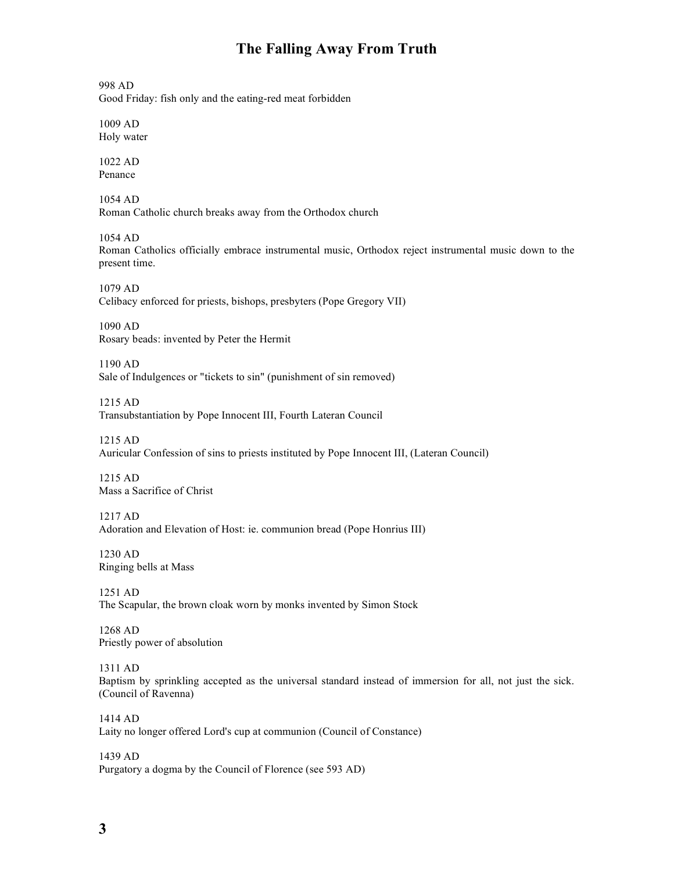998 AD

Good Friday: fish only and the eating-red meat forbidden

1009 AD Holy water

1022 AD Penance

1054 AD Roman Catholic church breaks away from the Orthodox church

1054 AD Roman Catholics officially embrace instrumental music, Orthodox reject instrumental music down to the present time.

1079 AD Celibacy enforced for priests, bishops, presbyters (Pope Gregory VII)

1090 AD Rosary beads: invented by Peter the Hermit

1190 AD Sale of Indulgences or "tickets to sin" (punishment of sin removed)

1215 AD Transubstantiation by Pope Innocent III, Fourth Lateran Council

1215 AD Auricular Confession of sins to priests instituted by Pope Innocent III, (Lateran Council)

1215 AD Mass a Sacrifice of Christ

1217 AD Adoration and Elevation of Host: ie. communion bread (Pope Honrius III)

1230 AD Ringing bells at Mass

1251 AD The Scapular, the brown cloak worn by monks invented by Simon Stock

1268 AD Priestly power of absolution

1311 AD

Baptism by sprinkling accepted as the universal standard instead of immersion for all, not just the sick. (Council of Ravenna)

1414 AD Laity no longer offered Lord's cup at communion (Council of Constance)

1439 AD Purgatory a dogma by the Council of Florence (see 593 AD)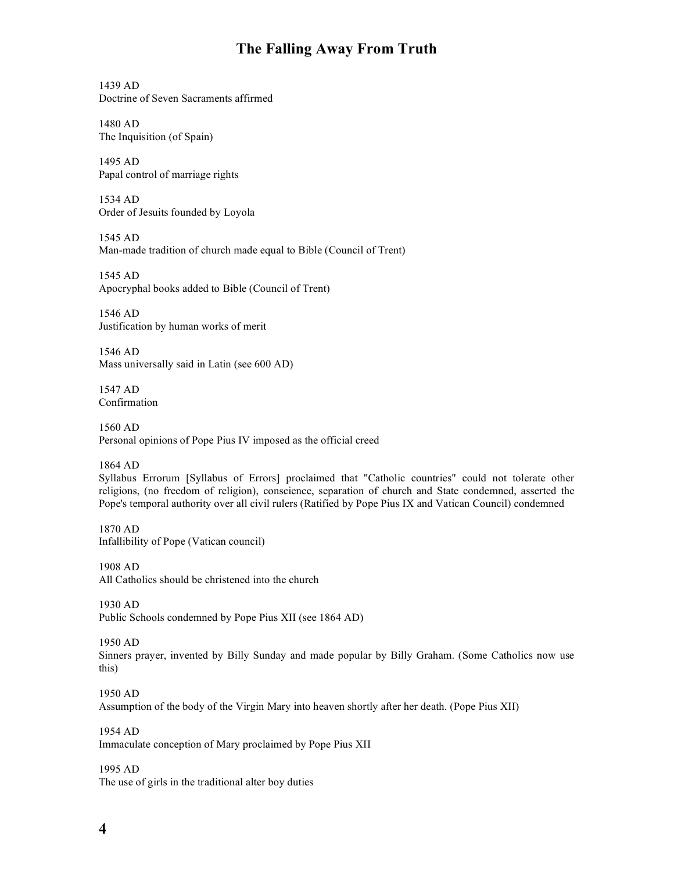1439 AD Doctrine of Seven Sacraments affirmed

1480 AD The Inquisition (of Spain)

1495 AD Papal control of marriage rights

1534 AD Order of Jesuits founded by Loyola

1545 AD Man-made tradition of church made equal to Bible (Council of Trent)

1545 AD Apocryphal books added to Bible (Council of Trent)

1546 AD Justification by human works of merit

1546 AD Mass universally said in Latin (see 600 AD)

1547 AD Confirmation

1560 AD Personal opinions of Pope Pius IV imposed as the official creed

1864 AD

Syllabus Errorum [Syllabus of Errors] proclaimed that "Catholic countries" could not tolerate other religions, (no freedom of religion), conscience, separation of church and State condemned, asserted the Pope's temporal authority over all civil rulers (Ratified by Pope Pius IX and Vatican Council) condemned

1870 AD Infallibility of Pope (Vatican council)

1908 AD All Catholics should be christened into the church

1930 AD Public Schools condemned by Pope Pius XII (see 1864 AD)

1950 AD

Sinners prayer, invented by Billy Sunday and made popular by Billy Graham. (Some Catholics now use this)

1950 AD Assumption of the body of the Virgin Mary into heaven shortly after her death. (Pope Pius XII)

1954 AD Immaculate conception of Mary proclaimed by Pope Pius XII

1995 AD The use of girls in the traditional alter boy duties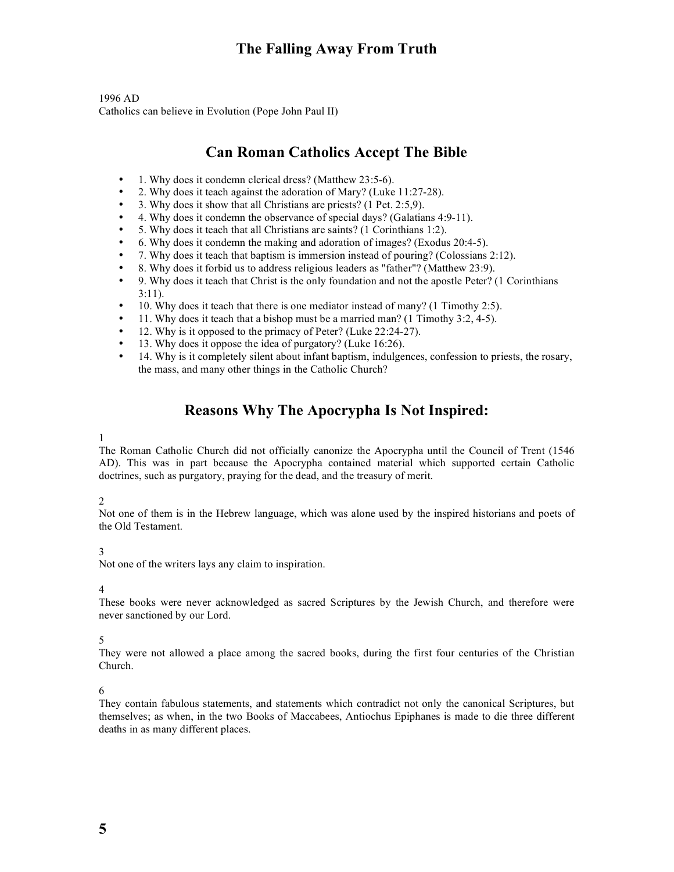1996 AD Catholics can believe in Evolution (Pope John Paul II)

# **Can Roman Catholics Accept The Bible**

- 1. Why does it condemn clerical dress? (Matthew 23:5-6).
- 2. Why does it teach against the adoration of Mary? (Luke 11:27-28).
- 3. Why does it show that all Christians are priests? (1 Pet. 2:5,9).
- 4. Why does it condemn the observance of special days? (Galatians 4:9-11).
- 5. Why does it teach that all Christians are saints? (1 Corinthians 1:2).
- 6. Why does it condemn the making and adoration of images? (Exodus 20:4-5).
- 7. Why does it teach that baptism is immersion instead of pouring? (Colossians 2:12).
- 8. Why does it forbid us to address religious leaders as "father"? (Matthew 23:9).
- 9. Why does it teach that Christ is the only foundation and not the apostle Peter? (1 Corinthians 3:11).
- 10. Why does it teach that there is one mediator instead of many? (1 Timothy 2:5).
- 11. Why does it teach that a bishop must be a married man? (1 Timothy 3:2, 4-5).
- 12. Why is it opposed to the primacy of Peter? (Luke 22:24-27).
- 13. Why does it oppose the idea of purgatory? (Luke 16:26).
- 14. Why is it completely silent about infant baptism, indulgences, confession to priests, the rosary, the mass, and many other things in the Catholic Church?

# **Reasons Why The Apocrypha Is Not Inspired:**

#### 1

The Roman Catholic Church did not officially canonize the Apocrypha until the Council of Trent (1546 AD). This was in part because the Apocrypha contained material which supported certain Catholic doctrines, such as purgatory, praying for the dead, and the treasury of merit.

#### 2

Not one of them is in the Hebrew language, which was alone used by the inspired historians and poets of the Old Testament.

#### 3

Not one of the writers lays any claim to inspiration.

#### 4

These books were never acknowledged as sacred Scriptures by the Jewish Church, and therefore were never sanctioned by our Lord.

#### 5

They were not allowed a place among the sacred books, during the first four centuries of the Christian Church.

#### 6

They contain fabulous statements, and statements which contradict not only the canonical Scriptures, but themselves; as when, in the two Books of Maccabees, Antiochus Epiphanes is made to die three different deaths in as many different places.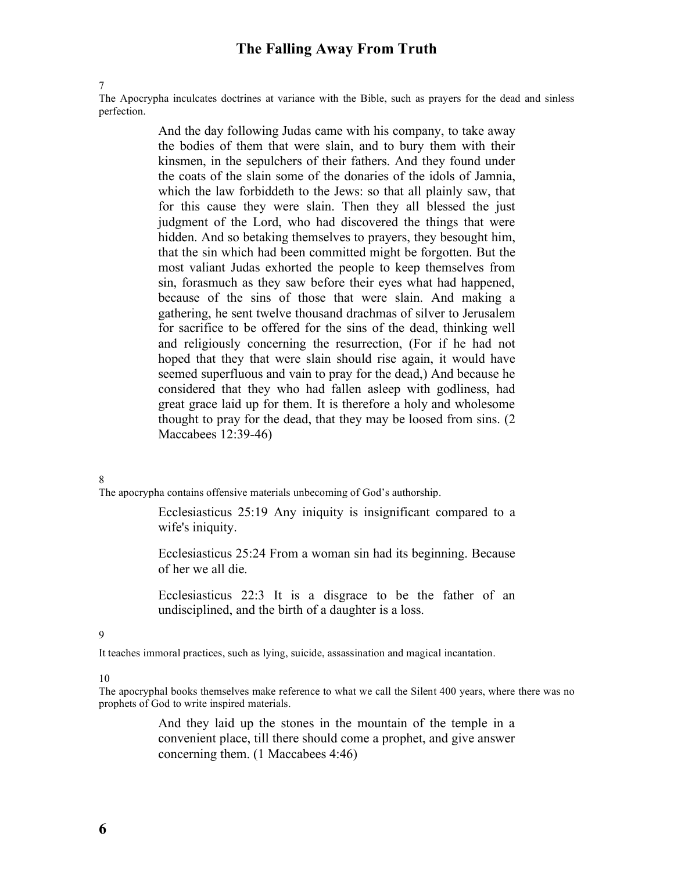7

The Apocrypha inculcates doctrines at variance with the Bible, such as prayers for the dead and sinless perfection.

> And the day following Judas came with his company, to take away the bodies of them that were slain, and to bury them with their kinsmen, in the sepulchers of their fathers. And they found under the coats of the slain some of the donaries of the idols of Jamnia, which the law forbiddeth to the Jews: so that all plainly saw, that for this cause they were slain. Then they all blessed the just judgment of the Lord, who had discovered the things that were hidden. And so betaking themselves to prayers, they besought him, that the sin which had been committed might be forgotten. But the most valiant Judas exhorted the people to keep themselves from sin, forasmuch as they saw before their eyes what had happened, because of the sins of those that were slain. And making a gathering, he sent twelve thousand drachmas of silver to Jerusalem for sacrifice to be offered for the sins of the dead, thinking well and religiously concerning the resurrection, (For if he had not hoped that they that were slain should rise again, it would have seemed superfluous and vain to pray for the dead,) And because he considered that they who had fallen asleep with godliness, had great grace laid up for them. It is therefore a holy and wholesome thought to pray for the dead, that they may be loosed from sins. (2 Maccabees 12:39-46)

#### 8

The apocrypha contains offensive materials unbecoming of God's authorship.

Ecclesiasticus 25:19 Any iniquity is insignificant compared to a wife's iniquity.

Ecclesiasticus 25:24 From a woman sin had its beginning. Because of her we all die.

Ecclesiasticus 22:3 It is a disgrace to be the father of an undisciplined, and the birth of a daughter is a loss.

#### 9

It teaches immoral practices, such as lying, suicide, assassination and magical incantation.

10

The apocryphal books themselves make reference to what we call the Silent 400 years, where there was no prophets of God to write inspired materials.

> And they laid up the stones in the mountain of the temple in a convenient place, till there should come a prophet, and give answer concerning them. (1 Maccabees 4:46)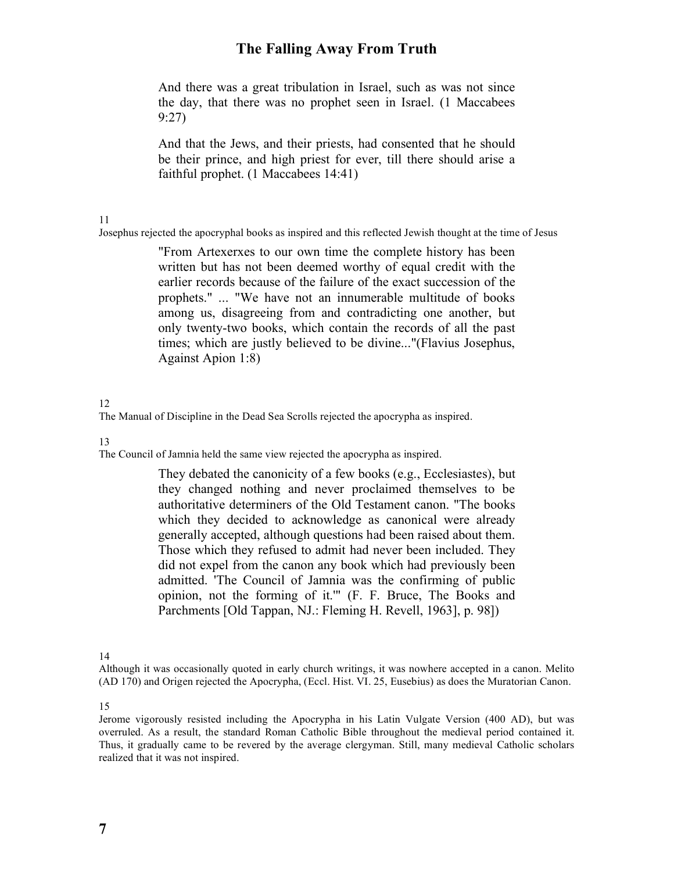And there was a great tribulation in Israel, such as was not since the day, that there was no prophet seen in Israel. (1 Maccabees 9:27)

And that the Jews, and their priests, had consented that he should be their prince, and high priest for ever, till there should arise a faithful prophet. (1 Maccabees 14:41)

11

Josephus rejected the apocryphal books as inspired and this reflected Jewish thought at the time of Jesus

"From Artexerxes to our own time the complete history has been written but has not been deemed worthy of equal credit with the earlier records because of the failure of the exact succession of the prophets." ... "We have not an innumerable multitude of books among us, disagreeing from and contradicting one another, but only twenty-two books, which contain the records of all the past times; which are justly believed to be divine..."(Flavius Josephus, Against Apion 1:8)

#### 12

The Manual of Discipline in the Dead Sea Scrolls rejected the apocrypha as inspired.

13

The Council of Jamnia held the same view rejected the apocrypha as inspired.

They debated the canonicity of a few books (e.g., Ecclesiastes), but they changed nothing and never proclaimed themselves to be authoritative determiners of the Old Testament canon. "The books which they decided to acknowledge as canonical were already generally accepted, although questions had been raised about them. Those which they refused to admit had never been included. They did not expel from the canon any book which had previously been admitted. 'The Council of Jamnia was the confirming of public opinion, not the forming of it.'" (F. F. Bruce, The Books and Parchments [Old Tappan, NJ.: Fleming H. Revell, 1963], p. 98])

14

Although it was occasionally quoted in early church writings, it was nowhere accepted in a canon. Melito (AD 170) and Origen rejected the Apocrypha, (Eccl. Hist. VI. 25, Eusebius) as does the Muratorian Canon.

15

Jerome vigorously resisted including the Apocrypha in his Latin Vulgate Version (400 AD), but was overruled. As a result, the standard Roman Catholic Bible throughout the medieval period contained it. Thus, it gradually came to be revered by the average clergyman. Still, many medieval Catholic scholars realized that it was not inspired.